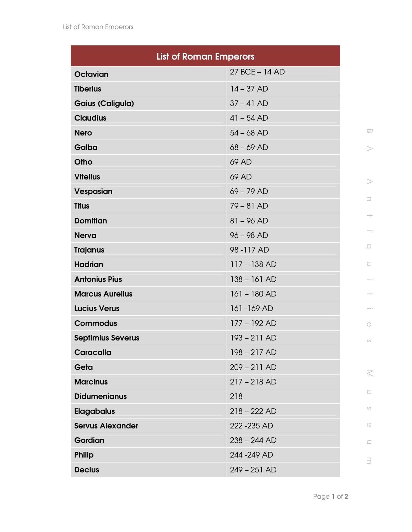| <b>List of Roman Emperors</b> |                |
|-------------------------------|----------------|
| <b>Octavian</b>               | 27 BCE - 14 AD |
| <b>Tiberius</b>               | $14 - 37 AD$   |
| <b>Gaius (Caligula)</b>       | $37 - 41$ AD   |
| <b>Claudius</b>               | $41 - 54 AD$   |
| <b>Nero</b>                   | $54 - 68$ AD   |
| Galba                         | $68 - 69$ AD   |
| Otho                          | 69 AD          |
| <b>Vitelius</b>               | 69 AD          |
| Vespasian                     | $69 - 79$ AD   |
| <b>Titus</b>                  | $79 - 81$ AD   |
| <b>Domitian</b>               | $81 - 96 AD$   |
| <b>Nerva</b>                  | $96 - 98$ AD   |
| <b>Trajanus</b>               | 98-117 AD      |
| <b>Hadrian</b>                | $117 - 138 AD$ |
| <b>Antonius Pius</b>          | $138 - 161 AD$ |
| <b>Marcus Aurelius</b>        | $161 - 180$ AD |
| <b>Lucius Verus</b>           | 161 - 169 AD   |
| <b>Commodus</b>               | 177 - 192 AD   |
| <b>Septimius Severus</b>      | $193 - 211$ AD |
| Caracalla                     | $198 - 217$ AD |
| Geta                          | $209 - 211$ AD |
| <b>Marcinus</b>               | $217 - 218$ AD |
| <b>Didumenianus</b>           | 218            |
| <b>Elagabalus</b>             | $218 - 222$ AD |
| <b>Servus Alexander</b>       | 222 - 235 AD   |
| Gordian                       | $238 - 244$ AD |
| <b>Philip</b>                 | 244 - 249 AD   |
| <b>Decius</b>                 | $249 - 251$ AD |

 $\geq$ n  $\rightarrow$  $\overline{\phantom{m}}$ 

 $\hfill\ensuremath{\square}$ 

 $\subseteq$ 

 $\overline{\phantom{m}}$  .

 $\rightarrow$ 

 $\overline{\phantom{m}}$  .

 $\mathbb O$ 

 $\circlearrowright$ 

 $\leq$ 

 $\subseteq$ 

 $\circlearrowright$ 

 $\mathbb O$ 

 $\subseteq$ 

 $\exists$ 

 $\bigcirc$ 

 $\!>$